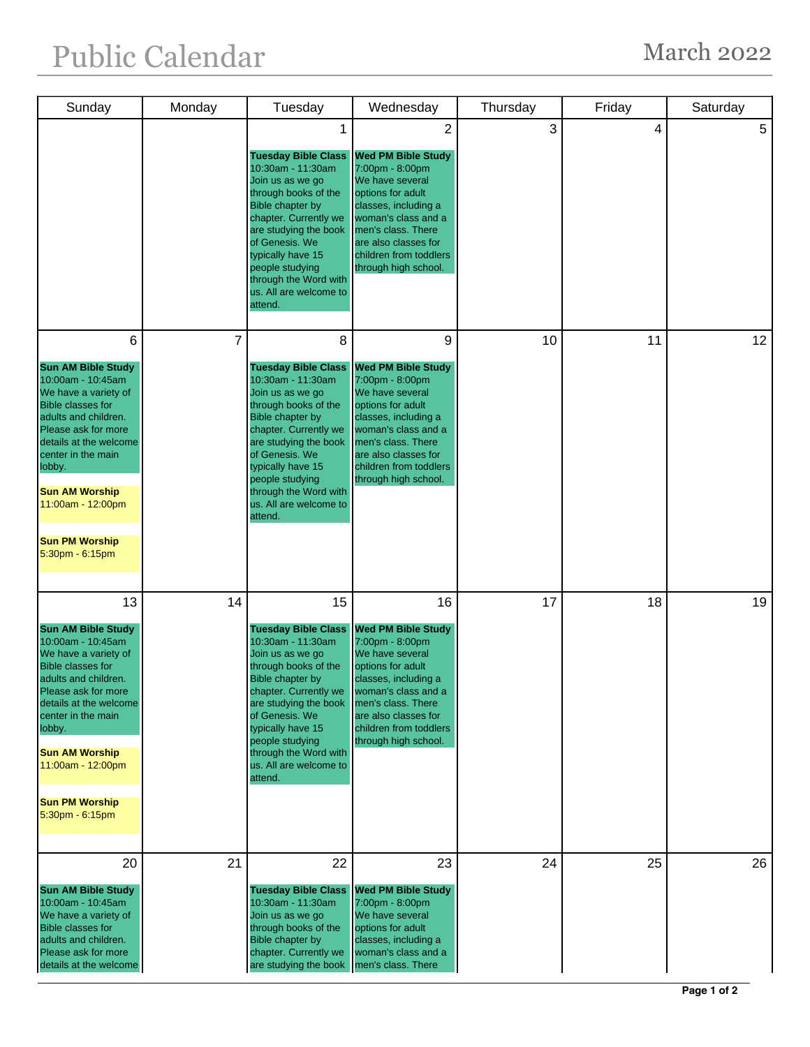## Public Calendar March 2022

| Sunday                                                                                                                                                                                                                                                                                                            | Monday         | Tuesday                                                                                                                                                                                                                                                                                               | Wednesday                                                                                                                                                                                                                                             | Thursday | Friday | Saturday        |
|-------------------------------------------------------------------------------------------------------------------------------------------------------------------------------------------------------------------------------------------------------------------------------------------------------------------|----------------|-------------------------------------------------------------------------------------------------------------------------------------------------------------------------------------------------------------------------------------------------------------------------------------------------------|-------------------------------------------------------------------------------------------------------------------------------------------------------------------------------------------------------------------------------------------------------|----------|--------|-----------------|
|                                                                                                                                                                                                                                                                                                                   |                | 1<br><b>Tuesday Bible Class</b><br>10:30am - 11:30am<br>Join us as we go<br>through books of the<br>Bible chapter by<br>chapter. Currently we<br>are studying the book<br>of Genesis. We<br>typically have 15<br>people studying<br>through the Word with<br>us. All are welcome to<br>attend.        | $\overline{2}$<br><b>Wed PM Bible Study</b><br>7:00pm - 8:00pm<br>We have several<br>options for adult<br>classes, including a<br>woman's class and a<br>men's class. There<br>are also classes for<br>children from toddlers<br>through high school. | 3        | 4      | 5               |
| 6<br><b>Sun AM Bible Study</b><br>10:00am - 10:45am<br>We have a variety of<br><b>Bible classes for</b><br>adults and children.<br>Please ask for more<br>details at the welcome<br>center in the main<br>lobby.<br><b>Sun AM Worship</b><br>11:00am - 12:00pm<br><b>Sun PM Worship</b><br>5:30pm - 6:15pm        | $\overline{7}$ | 8<br><b>Tuesday Bible Class</b><br>10:30am - 11:30am<br>Join us as we go<br>through books of the<br><b>Bible chapter by</b><br>chapter. Currently we<br>are studying the book<br>of Genesis. We<br>typically have 15<br>people studying<br>through the Word with<br>us. All are welcome to<br>attend. | 9<br><b>Wed PM Bible Study</b><br>7:00pm - 8:00pm<br>We have several<br>options for adult<br>classes, including a<br>woman's class and a<br>men's class. There<br>are also classes for<br>children from toddlers<br>through high school.              | 10       | 11     | 12 <sup>°</sup> |
| 13<br><b>Sun AM Bible Study</b><br>10:00am - 10:45am<br>We have a variety of<br><b>Bible classes for</b><br>adults and children.<br>Please ask for more<br>details at the welcome<br>center in the main<br>lobby.<br><b>Sun AM Worship</b><br>11:00am - 12:00pm<br><b>Sun PM Worship</b><br>$5:30$ pm - $6:15$ pm | 14             | 15<br><b>Tuesday Bible Class</b><br>10:30am - 11:30am<br>Join us as we go<br>through books of the<br>Bible chapter by<br>chapter. Currently we<br>are studying the book<br>of Genesis. We<br>typically have 15<br>people studying<br>through the Word with<br>us. All are welcome to<br>attend.       | 16<br><b>Wed PM Bible Study</b><br>7:00pm - 8:00pm<br>We have several<br>options for adult<br>classes, including a<br>woman's class and a<br>men's class. There<br>are also classes for<br>children from toddlers<br>through high school.             | 17       | 18     | 19              |
| 20<br><b>Sun AM Bible Study</b><br>10:00am - 10:45am<br>We have a variety of<br><b>Bible classes for</b><br>adults and children.<br>Please ask for more<br>details at the welcome                                                                                                                                 | 21             | 22<br><b>Tuesday Bible Class</b><br>10:30am - 11:30am<br>Join us as we go<br>through books of the<br>Bible chapter by<br>chapter. Currently we<br>are studying the book                                                                                                                               | 23<br><b>Wed PM Bible Study</b><br>7:00pm - 8:00pm<br>We have several<br>options for adult<br>classes, including a<br>woman's class and a<br>men's class. There                                                                                       | 24       | 25     | 26              |